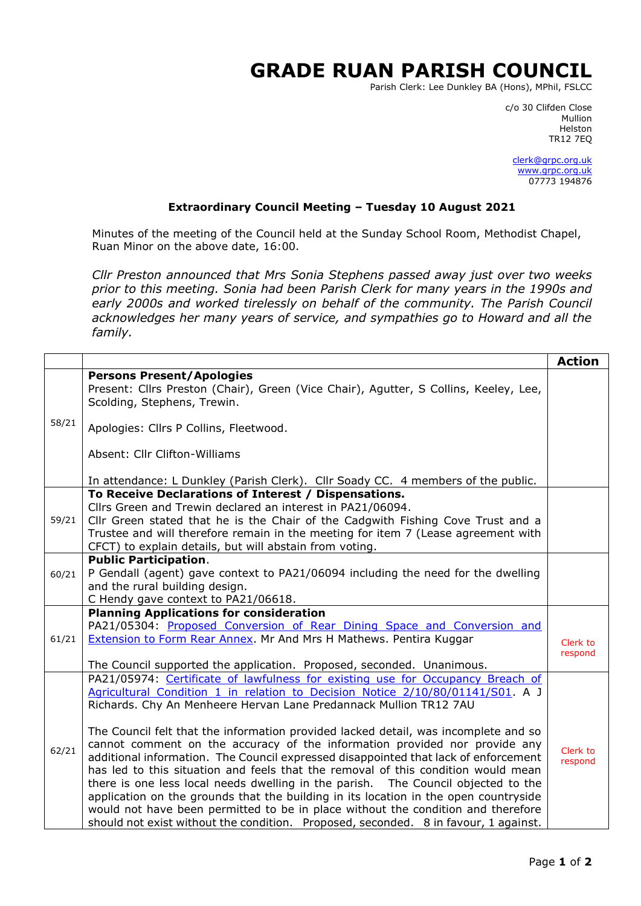## **GRADE RUAN PARISH COUNCIL**

Parish Clerk: Lee Dunkley BA (Hons), MPhil, FSLCC

c/o 30 Clifden Close man and the control of the control of the control of the control of the control of the control of the control o Helston TR12 7EQ

> [clerk@grpc.org.uk](mailto:clerk@grpc.org.uk) [www.grpc.org.uk](http://www.grpc.org.uk/) 07773 194876

## **Extraordinary Council Meeting – Tuesday 10 August 2021**

Minutes of the meeting of the Council held at the Sunday School Room, Methodist Chapel, Ruan Minor on the above date, 16:00.

*Cllr Preston announced that Mrs Sonia Stephens passed away just over two weeks prior to this meeting. Sonia had been Parish Clerk for many years in the 1990s and*  early 2000s and worked tirelessly on behalf of the community. The Parish Council *acknowledges her many years of service, and sympathies go to Howard and all the family.*

|       |                                                                                                                                                                                                                                                                                                                                                                                                                                                                                                                                                                                                                                                                                                                                                                                                                                                         | <b>Action</b>       |
|-------|---------------------------------------------------------------------------------------------------------------------------------------------------------------------------------------------------------------------------------------------------------------------------------------------------------------------------------------------------------------------------------------------------------------------------------------------------------------------------------------------------------------------------------------------------------------------------------------------------------------------------------------------------------------------------------------------------------------------------------------------------------------------------------------------------------------------------------------------------------|---------------------|
| 58/21 | <b>Persons Present/Apologies</b><br>Present: Cllrs Preston (Chair), Green (Vice Chair), Agutter, S Collins, Keeley, Lee,<br>Scolding, Stephens, Trewin.                                                                                                                                                                                                                                                                                                                                                                                                                                                                                                                                                                                                                                                                                                 |                     |
|       | Apologies: Cllrs P Collins, Fleetwood.                                                                                                                                                                                                                                                                                                                                                                                                                                                                                                                                                                                                                                                                                                                                                                                                                  |                     |
|       | Absent: Cllr Clifton-Williams                                                                                                                                                                                                                                                                                                                                                                                                                                                                                                                                                                                                                                                                                                                                                                                                                           |                     |
|       | In attendance: L Dunkley (Parish Clerk). Cllr Soady CC. 4 members of the public.                                                                                                                                                                                                                                                                                                                                                                                                                                                                                                                                                                                                                                                                                                                                                                        |                     |
| 59/21 | To Receive Declarations of Interest / Dispensations.<br>Cllrs Green and Trewin declared an interest in PA21/06094.<br>Cllr Green stated that he is the Chair of the Cadgwith Fishing Cove Trust and a<br>Trustee and will therefore remain in the meeting for item 7 (Lease agreement with<br>CFCT) to explain details, but will abstain from voting.                                                                                                                                                                                                                                                                                                                                                                                                                                                                                                   |                     |
| 60/21 | <b>Public Participation.</b><br>P Gendall (agent) gave context to PA21/06094 including the need for the dwelling<br>and the rural building design.<br>C Hendy gave context to PA21/06618.                                                                                                                                                                                                                                                                                                                                                                                                                                                                                                                                                                                                                                                               |                     |
| 61/21 | <b>Planning Applications for consideration</b><br>PA21/05304: Proposed Conversion of Rear Dining Space and Conversion and<br><b>Extension to Form Rear Annex.</b> Mr And Mrs H Mathews. Pentira Kuggar<br>The Council supported the application. Proposed, seconded. Unanimous.                                                                                                                                                                                                                                                                                                                                                                                                                                                                                                                                                                         | Clerk to<br>respond |
| 62/21 | PA21/05974: Certificate of lawfulness for existing use for Occupancy Breach of<br>Agricultural Condition 1 in relation to Decision Notice 2/10/80/01141/S01. A J<br>Richards. Chy An Menheere Hervan Lane Predannack Mullion TR12 7AU<br>The Council felt that the information provided lacked detail, was incomplete and so<br>cannot comment on the accuracy of the information provided nor provide any<br>additional information. The Council expressed disappointed that lack of enforcement<br>has led to this situation and feels that the removal of this condition would mean<br>there is one less local needs dwelling in the parish. The Council objected to the<br>application on the grounds that the building in its location in the open countryside<br>would not have been permitted to be in place without the condition and therefore | Clerk to<br>respond |